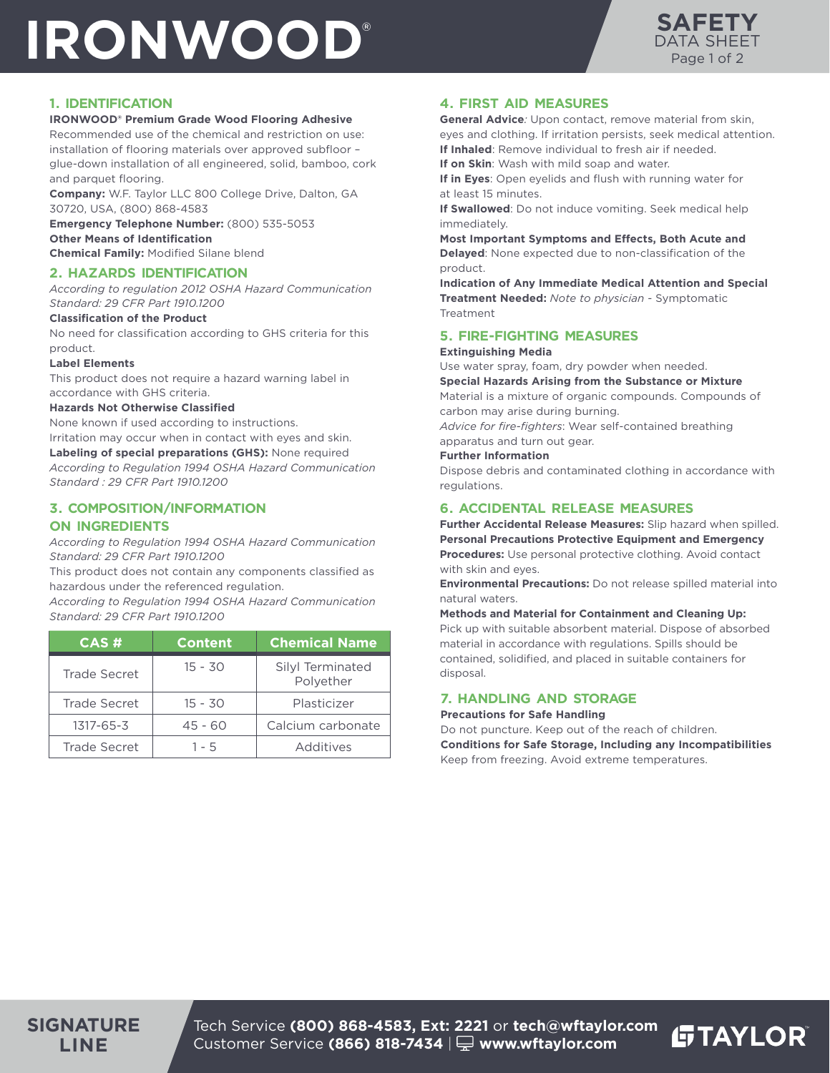# **IRONWOOD**®



## **1. IDENTIFICATION**

#### **IRONWOOD® Premium Grade Wood Flooring Adhesive**

Recommended use of the chemical and restriction on use: installation of flooring materials over approved subfloor – glue-down installation of all engineered, solid, bamboo, cork and parquet flooring.

**Company:** W.F. Taylor LLC 800 College Drive, Dalton, GA 30720, USA, (800) 868-4583

**Emergency Telephone Number:** (800) 535-5053 **Other Means of Identification Chemical Family:** Modified Silane blend

## **2. HAZARDS IDENTIFICATION**

*According to regulation 2012 OSHA Hazard Communication Standard: 29 CFR Part 1910.1200* 

#### **Classification of the Product**

No need for classification according to GHS criteria for this product.

#### **Label Elements**

This product does not require a hazard warning label in accordance with GHS criteria.

#### **Hazards Not Otherwise Classified**

None known if used according to instructions.

Irritation may occur when in contact with eyes and skin.

**Labeling of special preparations (GHS):** None required *According to Regulation 1994 OSHA Hazard Communication Standard : 29 CFR Part 1910.1200*

## **3. COMPOSITION/INFORMATION**

#### **ON INGREDIENTS**

*According to Regulation 1994 OSHA Hazard Communication Standard: 29 CFR Part 1910.1200* 

This product does not contain any components classified as hazardous under the referenced regulation.

*According to Regulation 1994 OSHA Hazard Communication Standard: 29 CFR Part 1910.1200*

| CAS#                | <b>Content</b> | <b>Chemical Name</b>          |
|---------------------|----------------|-------------------------------|
| <b>Trade Secret</b> | $15 - 30$      | Silyl Terminated<br>Polyether |
| <b>Trade Secret</b> | $15 - 30$      | Plasticizer                   |
| 1317-65-3           | $45 - 60$      | Calcium carbonate             |
| <b>Trade Secret</b> | 1 - 5          | Additives                     |

## **4. FIRST AID MEASURES**

**General Advice***:* Upon contact, remove material from skin, eyes and clothing. If irritation persists, seek medical attention. **If Inhaled**: Remove individual to fresh air if needed.

**If on Skin**: Wash with mild soap and water. **If in Eyes**: Open eyelids and flush with running water for

at least 15 minutes.

**If Swallowed**: Do not induce vomiting. Seek medical help immediately.

**Most Important Symptoms and Effects, Both Acute and Delayed**: None expected due to non-classification of the product.

**Indication of Any Immediate Medical Attention and Special Treatment Needed:** *Note to physician -* Symptomatic Treatment

### **5. FIRE-FIGHTING MEASURES**

#### **Extinguishing Media**

Use water spray, foam, dry powder when needed. **Special Hazards Arising from the Substance or Mixture**

Material is a mixture of organic compounds. Compounds of carbon may arise during burning.

*Advice for fire-fighters*: Wear self-contained breathing apparatus and turn out gear.

#### **Further Information**

Dispose debris and contaminated clothing in accordance with regulations.

## **6. ACCIDENTAL RELEASE MEASURES**

**Further Accidental Release Measures:** Slip hazard when spilled. **Personal Precautions Protective Equipment and Emergency Procedures:** Use personal protective clothing. Avoid contact with skin and eyes.

**Environmental Precautions:** Do not release spilled material into natural waters.

**Methods and Material for Containment and Cleaning Up:** Pick up with suitable absorbent material. Dispose of absorbed material in accordance with regulations. Spills should be contained, solidified, and placed in suitable containers for disposal.

## **7. HANDLING AND STORAGE**

**Precautions for Safe Handling**

Do not puncture. Keep out of the reach of children. **Conditions for Safe Storage, Including any Incompatibilities** Keep from freezing. Avoid extreme temperatures.

**GTAYLOR** 

Tech Service **(800) 868-4583, Ext: 2221** or **tech@wftaylor.com** Customer Service **(866) 818-7434** | **www.wftaylor.com**